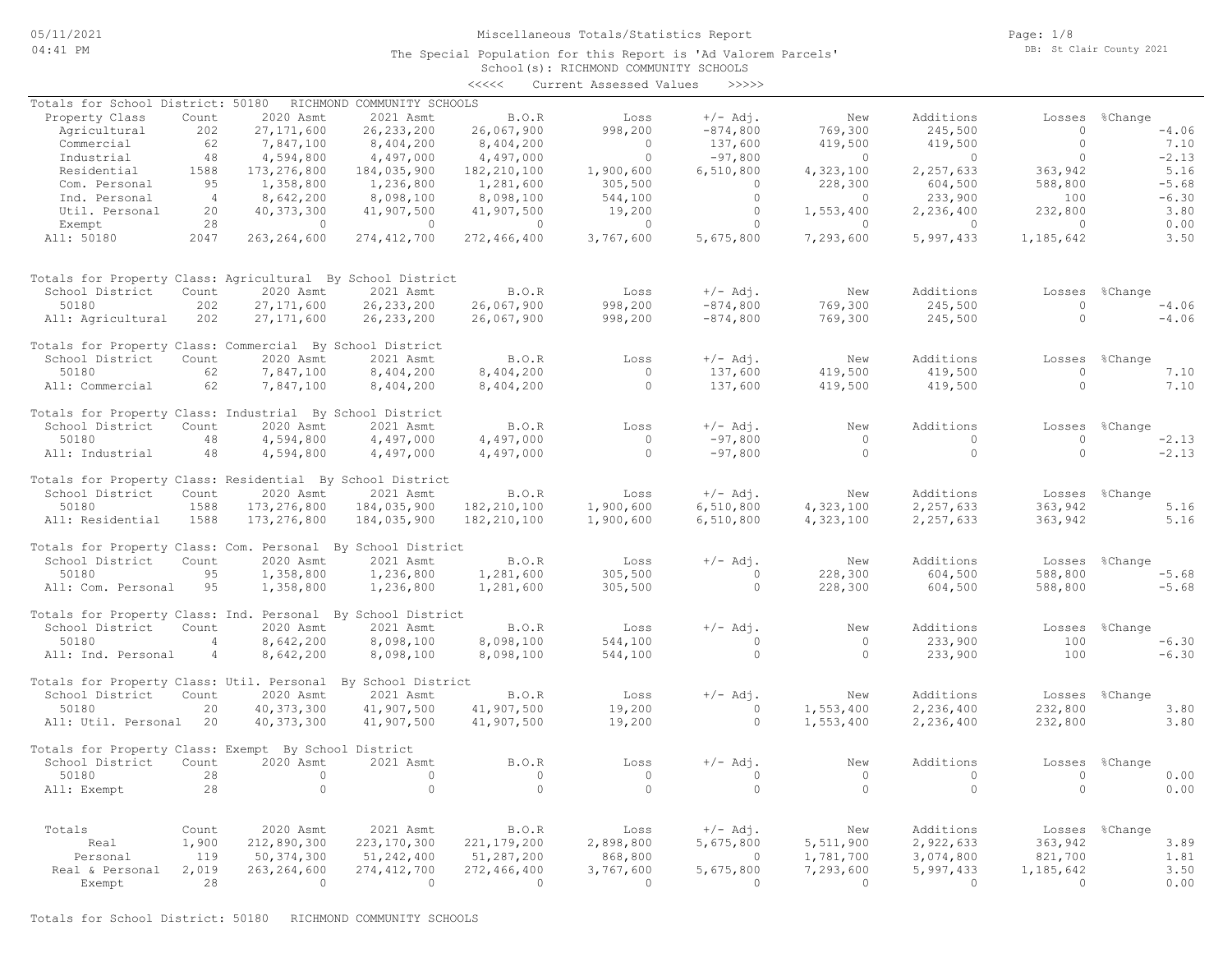The Special Population for this Report is 'Ad Valorem Parcels'

Page: 1/8 DB: St Clair County 2021

|                                                              |                |                             |                             |                             | School (s): RICHMOND COMMUNITY SCHOOLS |                      |                        |                        |                    |                |
|--------------------------------------------------------------|----------------|-----------------------------|-----------------------------|-----------------------------|----------------------------------------|----------------------|------------------------|------------------------|--------------------|----------------|
|                                                              |                |                             |                             | <<<<                        | Current Assessed Values                | >>>>>                |                        |                        |                    |                |
| Totals for School District: 50180                            |                |                             | RICHMOND COMMUNITY SCHOOLS  |                             |                                        |                      |                        |                        |                    |                |
| Property Class                                               | Count          | 2020 Asmt                   | 2021 Asmt                   | B.O.R                       | Loss                                   | $+/-$ Adj.           | New                    | Additions              |                    | Losses %Change |
| Agricultural                                                 | 202            | 27, 171, 600                | 26, 233, 200                | 26,067,900                  | 998,200                                | $-874,800$           | 769,300                | 245,500                | $\circ$            | $-4.06$        |
| Commercial                                                   | 62             | 7,847,100                   | 8,404,200                   | 8,404,200                   | $\circ$                                | 137,600              | 419,500                | 419,500                | $\circ$            | 7.10           |
| Industrial                                                   | 48             | 4,594,800                   | 4,497,000                   | 4,497,000                   | $\circ$                                | $-97,800$            | $\circ$                | $\circ$                | $\Omega$           | $-2.13$        |
| Residential                                                  | 1588           | 173,276,800                 | 184,035,900                 | 182, 210, 100               | 1,900,600                              | 6,510,800            | 4,323,100              | 2,257,633              | 363,942            | 5.16           |
| Com. Personal                                                | 95             | 1,358,800                   | 1,236,800                   | 1,281,600                   | 305,500                                | $\circ$              | 228,300                | 604,500                | 588,800            | $-5.68$        |
| Ind. Personal                                                | $\overline{4}$ | 8,642,200                   | 8,098,100                   | 8,098,100                   | 544,100                                | $\circ$              | $\circ$                | 233,900                | 100                | $-6.30$        |
| Util. Personal                                               | 20             | 40, 373, 300                | 41,907,500                  | 41,907,500                  | 19,200                                 | $\circ$              | 1,553,400              | 2,236,400              | 232,800            | 3.80           |
| Exempt                                                       | 28             | $\bigcirc$                  | $\circ$                     | $\overline{0}$              | $\circ$                                | $\circ$              | $\circ$                | $\overline{0}$         | $\bigcirc$         | 0.00           |
| All: 50180                                                   | 2047           | 263, 264, 600               | 274, 412, 700               | 272,466,400                 | 3,767,600                              | 5,675,800            | 7,293,600              | 5,997,433              | 1,185,642          | 3.50           |
| Totals for Property Class: Agricultural By School District   |                |                             |                             |                             |                                        |                      |                        |                        |                    |                |
| School District                                              | Count          | 2020 Asmt                   | 2021 Asmt                   | B.O.R                       | Loss                                   | $+/-$ Adj.           | New                    | Additions              | Losses             | %Change        |
| 50180                                                        | 202            | 27, 171, 600                | 26, 233, 200                | 26,067,900                  | 998,200                                | $-874,800$           | 769,300                | 245,500                | $\circ$            | $-4.06$        |
| All: Agricultural                                            | 202            | 27, 171, 600                | 26, 233, 200                | 26,067,900                  | 998,200                                | $-874,800$           | 769,300                | 245,500                | $\circ$            | $-4.06$        |
| Totals for Property Class: Commercial By School District     |                |                             |                             |                             |                                        |                      |                        |                        |                    |                |
| School District                                              | Count          | 2020 Asmt                   | 2021 Asmt                   | B.O.R                       | Loss                                   | $+/-$ Adj.           | New                    | Additions              |                    | Losses %Change |
| 50180                                                        | 62             | 7,847,100                   | 8,404,200                   | 8,404,200                   | $\circ$                                | 137,600              | 419,500                | 419,500                | $\circ$            | 7.10           |
| All: Commercial                                              | 62             | 7,847,100                   | 8,404,200                   | 8,404,200                   | $\circ$                                | 137,600              | 419,500                | 419,500                | $\Omega$           | 7.10           |
| Totals for Property Class: Industrial By School District     |                |                             |                             |                             |                                        |                      |                        |                        |                    |                |
| School District                                              | Count          | 2020 Asmt                   | 2021 Asmt                   | B.O.R                       | Loss                                   | $+/-$ Adj.           | New                    | Additions              |                    | Losses %Change |
| 50180                                                        | 48             | 4,594,800                   | 4,497,000                   | 4,497,000                   | $\circ$                                | $-97,800$            | $\circ$                | $\Omega$               | $\circ$            | $-2.13$        |
| All: Industrial                                              | 48             | 4,594,800                   | 4,497,000                   | 4,497,000                   | $\circ$                                | $-97,800$            | $\circ$                | $\circ$                | $\Omega$           | $-2.13$        |
| Totals for Property Class: Residential By School District    |                |                             |                             |                             |                                        |                      |                        |                        |                    |                |
| School District                                              | Count          | 2020 Asmt                   | 2021 Asmt                   | B.O.R                       | Loss                                   | $+/-$ Adj.           | New                    | Additions              |                    | Losses %Change |
| 50180                                                        | 1588           | 173, 276, 800               | 184,035,900                 | 182, 210, 100               | 1,900,600                              | 6,510,800            | 4,323,100              | 2,257,633              | 363,942            | 5.16           |
| All: Residential                                             | 1588           | 173,276,800                 | 184,035,900                 | 182, 210, 100               | 1,900,600                              | 6,510,800            | 4,323,100              | 2,257,633              | 363,942            | 5.16           |
| Totals for Property Class: Com. Personal By School District  |                |                             |                             |                             |                                        |                      |                        |                        |                    |                |
| School District                                              | Count          | 2020 Asmt                   | 2021 Asmt                   | B.O.R                       | Loss                                   | $+/-$ Adj.           | New                    | Additions              |                    | Losses %Change |
| 50180                                                        | 95             | 1,358,800                   | 1,236,800                   | 1,281,600                   | 305,500                                | $\circ$              | 228,300                | 604,500                | 588,800            | $-5.68$        |
| All: Com. Personal                                           | 95             | 1,358,800                   | 1,236,800                   | 1,281,600                   | 305,500                                | $\circ$              | 228,300                | 604,500                | 588,800            | $-5.68$        |
| Totals for Property Class: Ind. Personal By School District  |                |                             |                             |                             |                                        |                      |                        |                        |                    |                |
| School District                                              | Count          | 2020 Asmt                   | 2021 Asmt                   | B.O.R                       | Loss                                   | $+/-$ Adj.           | New                    | Additions              | Losses             | %Change        |
| 50180                                                        | $\overline{4}$ | 8,642,200                   | 8,098,100                   | 8,098,100                   | 544,100                                | $\overline{0}$       | $\circ$                | 233,900                | 100                | $-6.30$        |
| All: Ind. Personal                                           | $\overline{4}$ | 8,642,200                   | 8,098,100                   | 8,098,100                   | 544,100                                | $\circ$              | $\Omega$               | 233,900                | 100                | $-6.30$        |
| Totals for Property Class: Util. Personal By School District |                |                             |                             |                             |                                        |                      |                        |                        |                    |                |
| School District                                              | Count          | 2020 Asmt                   | 2021 Asmt                   | B.O.R                       | Loss                                   | $+/-$ Adj.           | New                    | Additions              | Losses             | %Change        |
| 50180                                                        | 20             | 40, 373, 300                | 41,907,500                  | 41,907,500                  | 19,200                                 | $\circ$              | 1,553,400              | 2,236,400              | 232,800            | 3.80           |
| All: Util. Personal 20                                       |                | 40,373,300                  | 41,907,500                  | 41,907,500                  | 19,200                                 | $\circ$              | 1,553,400              | 2,236,400              | 232,800            | 3.80           |
| Totals for Property Class: Exempt By School District         |                |                             |                             |                             |                                        |                      |                        |                        |                    |                |
| School District Count 2020 Asmt 2021 Asmt                    |                |                             |                             | B.O.R                       | Loss                                   | $+/-$ Adj.           | New                    | Additions              |                    | Losses %Change |
| 50180                                                        | 28             | $\circ$                     | $\circ$                     | $\circ$                     | $\circ$                                | $\circ$              | 0                      | $\circ$                | $\circ$            | 0.00           |
| All: Exempt                                                  | 28             | $\Omega$                    | $\Omega$                    | $\circ$                     | $\Omega$                               | $\Omega$             | $\Omega$               | $\circ$                | $\Omega$           | 0.00           |
|                                                              |                | 2020 Asmt                   |                             |                             |                                        |                      |                        |                        |                    |                |
| Totals                                                       | Count          |                             | 2021 Asmt                   | <b>B.O.R</b>                | Loss                                   | +/- Adj.             | New                    | Additions<br>2,922,633 |                    | Losses %Change |
| Real<br>Personal                                             | 1,900<br>119   | 212,890,300<br>50, 374, 300 | 223, 170, 300<br>51,242,400 | 221, 179, 200<br>51,287,200 | 2,898,800<br>868,800                   | 5,675,800<br>$\circ$ | 5,511,900<br>1,781,700 | 3,074,800              | 363,942<br>821,700 | 3.89<br>1.81   |
| Real & Personal                                              | 2,019          | 263, 264, 600               | 274, 412, 700               | 272,466,400                 | 3,767,600                              | 5,675,800            | 7,293,600              | 5,997,433              | 1,185,642          | 3.50           |
| Exempt                                                       | 28             | $\sim$ 0                    | $\sim$ 0                    | $\sim$ 0                    | $\sim$ 0                               | $\sim$ 0             | $\Omega$               | $\sim$ 0               | $\overline{0}$     | 0.00           |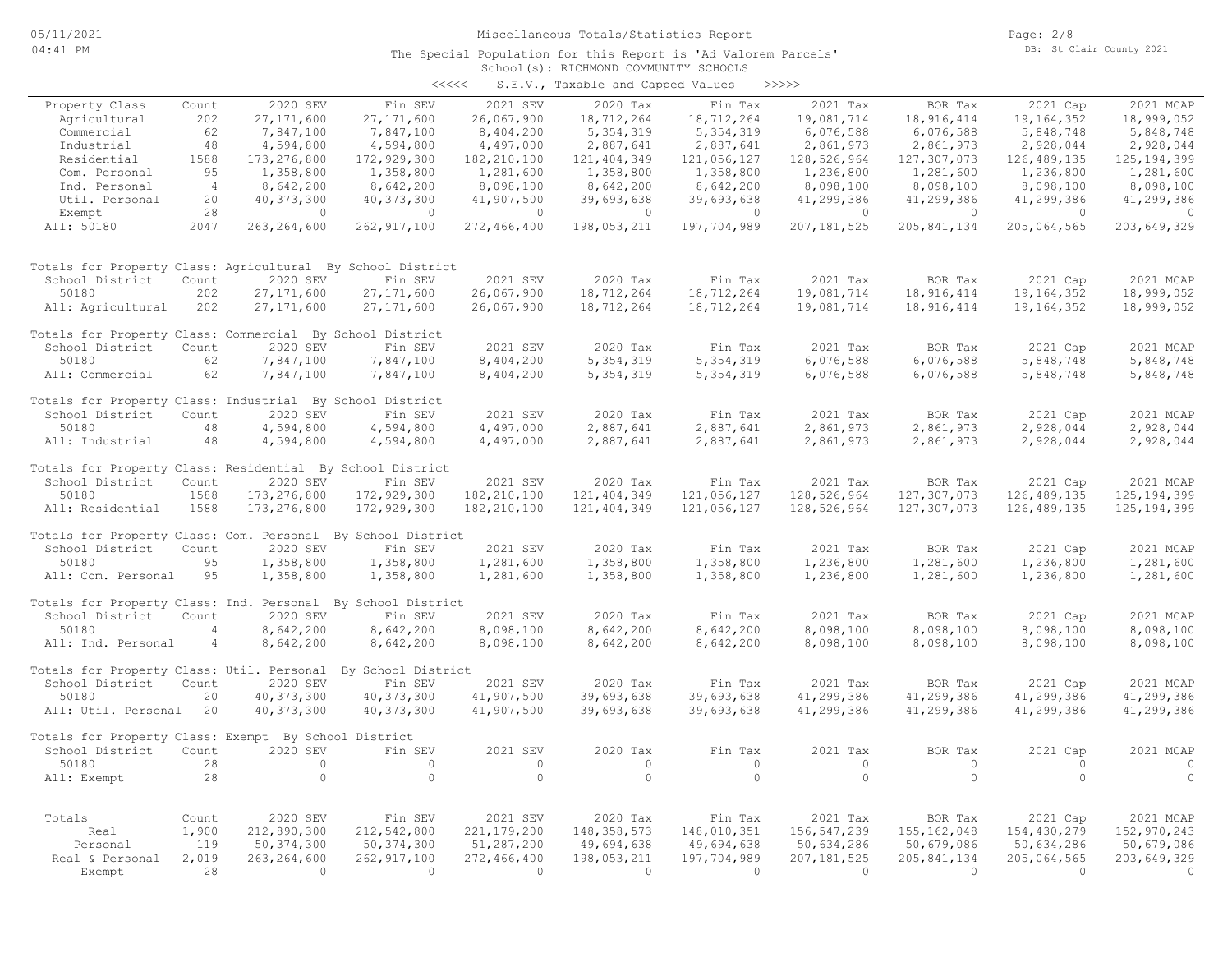#### School(s): RICHMOND COMMUNITY SCHOOLS The Special Population for this Report is 'Ad Valorem Parcels'

| くくくくく | S.E.V., Taxable and Capped Values |  |  |  | >>>>> |
|-------|-----------------------------------|--|--|--|-------|
|-------|-----------------------------------|--|--|--|-------|

| Property Class                                              | Count          | 2020 SEV      | Fin SEV            | 2021 SEV       | 2020 Tax       | Fin Tax     | 2021 Tax       | BOR Tax        | 2021 Cap       | 2021 MCAP     |
|-------------------------------------------------------------|----------------|---------------|--------------------|----------------|----------------|-------------|----------------|----------------|----------------|---------------|
| Agricultural                                                | 202            | 27, 171, 600  | 27, 171, 600       | 26,067,900     | 18,712,264     | 18,712,264  | 19,081,714     | 18,916,414     | 19, 164, 352   | 18,999,052    |
| Commercial                                                  | 62             | 7,847,100     | 7,847,100          | 8,404,200      | 5, 354, 319    | 5, 354, 319 | 6,076,588      | 6,076,588      | 5,848,748      | 5,848,748     |
| Industrial                                                  | 48             | 4,594,800     | 4,594,800          | 4,497,000      | 2,887,641      | 2,887,641   | 2,861,973      | 2,861,973      | 2,928,044      | 2,928,044     |
| Residential                                                 | 1588           | 173, 276, 800 | 172,929,300        | 182, 210, 100  | 121, 404, 349  | 121,056,127 | 128,526,964    | 127,307,073    | 126, 489, 135  | 125, 194, 399 |
| Com. Personal                                               | 95             | 1,358,800     | 1,358,800          | 1,281,600      | 1,358,800      | 1,358,800   | 1,236,800      | 1,281,600      | 1,236,800      | 1,281,600     |
| Ind. Personal                                               | $\overline{4}$ | 8,642,200     | 8,642,200          | 8,098,100      | 8,642,200      | 8,642,200   | 8,098,100      | 8,098,100      | 8,098,100      | 8,098,100     |
| Util. Personal                                              | 20             | 40, 373, 300  | 40, 373, 300       | 41,907,500     | 39,693,638     | 39,693,638  | 41,299,386     | 41,299,386     | 41,299,386     | 41,299,386    |
| Exempt                                                      | 28             | $\circ$       | $\circ$            | $\circ$        | $\overline{0}$ | $\circ$     | $\overline{0}$ | $\circ$        | $\overline{0}$ | $\circ$       |
| All: 50180                                                  | 2047           | 263, 264, 600 | 262, 917, 100      | 272,466,400    | 198,053,211    | 197,704,989 | 207, 181, 525  | 205, 841, 134  | 205,064,565    | 203,649,329   |
| Totals for Property Class: Agricultural By School District  |                |               |                    |                |                |             |                |                |                |               |
| School District                                             | Count          | 2020 SEV      | Fin SEV            | 2021 SEV       | 2020 Tax       | Fin Tax     | 2021 Tax       | BOR Tax        | 2021 Cap       | 2021 MCAP     |
| 50180                                                       | 202            | 27, 171, 600  | 27, 171, 600       | 26,067,900     | 18,712,264     | 18,712,264  | 19,081,714     | 18, 916, 414   | 19,164,352     | 18,999,052    |
| All: Agricultural                                           | 202            | 27, 171, 600  | 27, 171, 600       | 26,067,900     | 18,712,264     | 18,712,264  | 19,081,714     | 18, 916, 414   | 19,164,352     | 18,999,052    |
| Totals for Property Class: Commercial By School District    |                |               |                    |                |                |             |                |                |                |               |
| School District                                             | Count          | 2020 SEV      | Fin SEV            | 2021 SEV       | 2020 Tax       | Fin Tax     | 2021 Tax       | BOR Tax        | 2021 Cap       | 2021 MCAP     |
| 50180                                                       | 62             | 7,847,100     | 7,847,100          | 8,404,200      | 5, 354, 319    | 5, 354, 319 | 6,076,588      | 6,076,588      | 5,848,748      | 5,848,748     |
| All: Commercial                                             | 62             | 7,847,100     | 7,847,100          | 8,404,200      | 5, 354, 319    | 5,354,319   | 6,076,588      | 6,076,588      | 5,848,748      | 5,848,748     |
| Totals for Property Class: Industrial By School District    |                |               |                    |                |                |             |                |                |                |               |
| School District                                             | Count          | 2020 SEV      | Fin SEV            | 2021 SEV       | 2020 Tax       | Fin Tax     | 2021 Tax       | BOR Tax        | 2021 Cap       | 2021 MCAP     |
| 50180                                                       | 48             | 4,594,800     | 4,594,800          | 4,497,000      | 2,887,641      | 2,887,641   | 2,861,973      | 2,861,973      | 2,928,044      | 2,928,044     |
| All: Industrial                                             | 48             | 4,594,800     | 4,594,800          | 4,497,000      | 2,887,641      | 2,887,641   | 2,861,973      | 2,861,973      | 2,928,044      | 2,928,044     |
| Totals for Property Class: Residential By School District   |                |               |                    |                |                |             |                |                |                |               |
| School District                                             | Count          | 2020 SEV      | Fin SEV            | 2021 SEV       | 2020 Tax       | Fin Tax     | 2021 Tax       | BOR Tax        | 2021 Cap       | 2021 MCAP     |
| 50180                                                       | 1588           | 173,276,800   | 172,929,300        | 182,210,100    | 121,404,349    | 121,056,127 | 128,526,964    | 127,307,073    | 126, 489, 135  | 125, 194, 399 |
| All: Residential                                            | 1588           | 173, 276, 800 | 172,929,300        | 182, 210, 100  | 121,404,349    | 121,056,127 | 128,526,964    | 127,307,073    | 126, 489, 135  | 125, 194, 399 |
| Totals for Property Class: Com. Personal By School District |                |               |                    |                |                |             |                |                |                |               |
| School District                                             | Count          | 2020 SEV      | Fin SEV            | 2021 SEV       | 2020 Tax       | Fin Tax     | 2021 Tax       | BOR Tax        | 2021 Cap       | 2021 MCAP     |
| 50180                                                       | 95             | 1,358,800     | 1,358,800          | 1,281,600      | 1,358,800      | 1,358,800   | 1,236,800      | 1,281,600      | 1,236,800      | 1,281,600     |
| All: Com. Personal                                          | 95             | 1,358,800     | 1,358,800          | 1,281,600      | 1,358,800      | 1,358,800   | 1,236,800      | 1,281,600      | 1,236,800      | 1,281,600     |
| Totals for Property Class: Ind. Personal By School District |                |               |                    |                |                |             |                |                |                |               |
| School District                                             | Count          | 2020 SEV      | Fin SEV            | 2021 SEV       | 2020 Tax       | Fin Tax     | 2021 Tax       | BOR Tax        | 2021 Cap       | 2021 MCAP     |
| 50180                                                       | $\overline{4}$ | 8,642,200     | 8,642,200          | 8,098,100      | 8,642,200      | 8,642,200   | 8,098,100      | 8,098,100      | 8,098,100      | 8,098,100     |
| All: Ind. Personal                                          | $\overline{4}$ | 8,642,200     | 8,642,200          | 8,098,100      | 8,642,200      | 8,642,200   | 8,098,100      | 8,098,100      | 8,098,100      | 8,098,100     |
| Totals for Property Class: Util. Personal                   |                |               | By School District |                |                |             |                |                |                |               |
| School District                                             | Count          | 2020 SEV      | Fin SEV            | 2021 SEV       | 2020 Tax       | Fin Tax     | 2021 Tax       | BOR Tax        | 2021 Cap       | 2021 MCAP     |
| 50180                                                       | 20             | 40,373,300    | 40, 373, 300       | 41,907,500     | 39,693,638     | 39,693,638  | 41,299,386     | 41,299,386     | 41,299,386     | 41,299,386    |
| All: Util. Personal                                         | 20             | 40, 373, 300  | 40,373,300         | 41,907,500     | 39,693,638     | 39,693,638  | 41,299,386     | 41,299,386     | 41,299,386     | 41,299,386    |
| Totals for Property Class: Exempt By School District        |                |               |                    |                |                |             |                |                |                |               |
| School District                                             | Count          | 2020 SEV      | Fin SEV            | 2021 SEV       | 2020 Tax       | Fin Tax     | 2021 Tax       | BOR Tax        | 2021 Cap       | 2021 MCAP     |
| 50180                                                       | 28             | $\circ$       | $\circ$            | $\circ$        | $\circ$        | $\circ$     | $\circ$        | $\circ$        | $\circ$        | $\circ$       |
| All: Exempt                                                 | 28             | $\circ$       | $\circ$            | $\circ$        | $\circ$        | $\circ$     | $\circ$        | $\circ$        | $\Omega$       | $\circ$       |
| Totals                                                      | Count          | 2020 SEV      | Fin SEV            | 2021 SEV       | 2020 Tax       | Fin Tax     | 2021 Tax       | BOR Tax        | 2021 Cap       | 2021 MCAP     |
| Real                                                        | 1,900          | 212,890,300   | 212,542,800        | 221, 179, 200  | 148,358,573    | 148,010,351 | 156, 547, 239  | 155, 162, 048  | 154,430,279    | 152,970,243   |
| Personal                                                    | 119            | 50, 374, 300  | 50, 374, 300       | 51,287,200     | 49,694,638     | 49,694,638  | 50,634,286     | 50,679,086     | 50,634,286     | 50,679,086    |
| Real & Personal                                             | 2,019          | 263, 264, 600 | 262,917,100        | 272,466,400    | 198,053,211    | 197,704,989 | 207, 181, 525  | 205, 841, 134  | 205,064,565    | 203,649,329   |
| Exempt                                                      | 28             | $\Omega$      | $\overline{0}$     | $\overline{0}$ | $\bigcirc$     | $\Omega$    | $\Omega$       | $\overline{0}$ | $\bigcirc$     | $\Omega$      |
|                                                             |                |               |                    |                |                |             |                |                |                |               |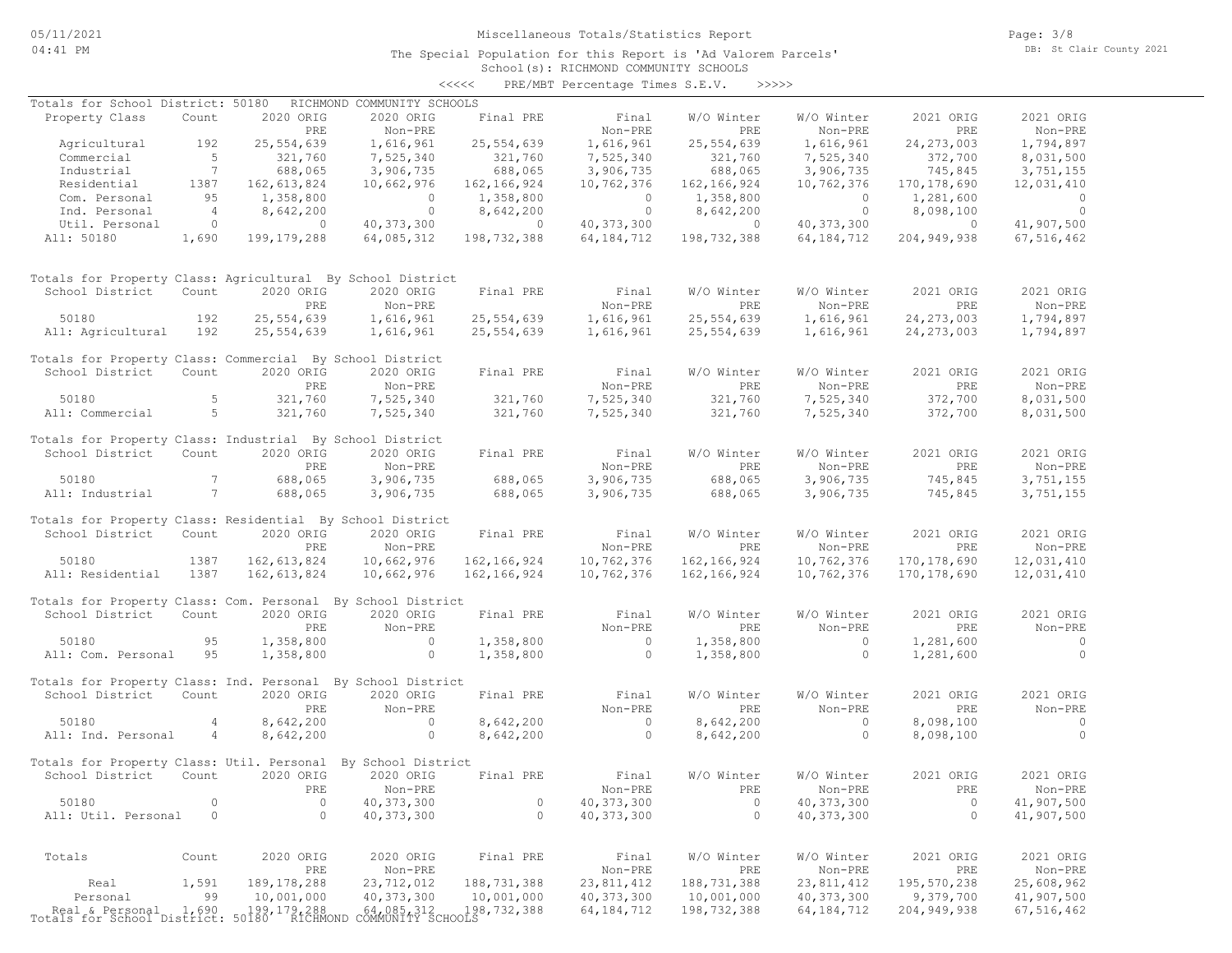## School(s): RICHMOND COMMUNITY SCHOOLS <<<<< PRE/MBT Percentage Times S.E.V. >>>>>

| Totals for School District: 50180                            |                          |                                 | RICHMOND COMMUNITY SCHOOLS |                |                |                |                |                |                |
|--------------------------------------------------------------|--------------------------|---------------------------------|----------------------------|----------------|----------------|----------------|----------------|----------------|----------------|
| Property Class                                               | Count                    | 2020 ORIG                       | 2020 ORIG                  | Final PRE      | Final          | W/O Winter     | W/O Winter     | 2021 ORIG      | 2021 ORIG      |
|                                                              |                          | PRE                             | Non-PRE                    |                | Non-PRE        | PRE            | Non-PRE        | PRE            | Non-PRE        |
| Agricultural                                                 | 192                      | 25,554,639                      | 1,616,961                  | 25,554,639     | 1,616,961      | 25,554,639     | 1,616,961      | 24, 273, 003   | 1,794,897      |
| Commercial                                                   | 5                        | 321,760                         | 7,525,340                  | 321,760        | 7,525,340      | 321,760        | 7,525,340      | 372,700        | 8,031,500      |
| Industrial                                                   | 7                        | 688,065                         | 3,906,735                  | 688,065        | 3,906,735      | 688,065        | 3,906,735      | 745,845        | 3,751,155      |
| Residential                                                  | 1387                     | 162,613,824                     | 10,662,976                 | 162, 166, 924  | 10,762,376     | 162, 166, 924  | 10,762,376     | 170, 178, 690  | 12,031,410     |
| Com. Personal                                                | 95                       | 1,358,800                       | $\circ$                    | 1,358,800      | $\overline{0}$ | 1,358,800      | $\overline{0}$ | 1,281,600      | $\overline{0}$ |
| Ind. Personal                                                | $\overline{4}$           | 8,642,200                       | $\overline{0}$             | 8,642,200      | $\overline{0}$ | 8,642,200      | $\overline{0}$ | 8,098,100      | $\overline{0}$ |
| Util. Personal                                               | $\overline{\phantom{0}}$ | $\overline{0}$                  | 40, 373, 300               | $\overline{0}$ | 40, 373, 300   | $\overline{0}$ | 40,373,300     | $\overline{0}$ | 41,907,500     |
| All: 50180                                                   | 1,690                    | 199,179,288                     | 64,085,312                 | 198,732,388    | 64,184,712     | 198,732,388    | 64, 184, 712   | 204, 949, 938  | 67,516,462     |
|                                                              |                          |                                 |                            |                |                |                |                |                |                |
| Totals for Property Class: Agricultural By School District   |                          |                                 |                            |                |                |                |                |                |                |
| School District                                              | Count                    | 2020 ORIG                       | 2020 ORIG                  | Final PRE      | Final          | W/O Winter     | W/O Winter     | 2021 ORIG      | 2021 ORIG      |
|                                                              |                          | PRE                             | Non-PRE                    |                | Non-PRE        | PRE            | Non-PRE        | PRE            | Non-PRE        |
| 50180                                                        | 192                      | 25,554,639                      | 1,616,961                  | 25,554,639     | 1,616,961      | 25,554,639     | 1,616,961      | 24, 273, 003   | 1,794,897      |
| All: Agricultural                                            | 192                      | 25,554,639                      | 1,616,961                  | 25,554,639     | 1,616,961      | 25,554,639     | 1,616,961      | 24, 273, 003   | 1,794,897      |
| Totals for Property Class: Commercial By School District     |                          |                                 |                            |                |                |                |                |                |                |
| School District                                              | Count                    | 2020 ORIG                       | 2020 ORIG                  | Final PRE      | Final          | W/O Winter     | W/O Winter     | 2021 ORIG      | 2021 ORIG      |
|                                                              |                          | PRE                             | Non-PRE                    |                | Non-PRE        | PRE            | Non-PRE        | PRE            | Non-PRE        |
| 50180                                                        | 5                        | 321,760                         | 7,525,340                  | 321,760        | 7,525,340      | 321,760        | 7,525,340      | 372,700        | 8,031,500      |
| All: Commercial                                              | $5^{\circ}$              | 321,760                         | 7,525,340                  | 321,760        | 7,525,340      | 321,760        | 7,525,340      | 372,700        | 8,031,500      |
| Totals for Property Class: Industrial By School District     |                          |                                 |                            |                |                |                |                |                |                |
| School District                                              | Count                    | 2020 ORIG                       | 2020 ORIG                  | Final PRE      | Final          | W/O Winter     | W/O Winter     | 2021 ORIG      | 2021 ORIG      |
|                                                              |                          | PRE                             | Non-PRE                    |                | Non-PRE        | PRE            | Non-PRE        | PRE            | Non-PRE        |
| 50180                                                        | $7\phantom{.0}$          | 688,065                         | 3,906,735                  | 688,065        | 3,906,735      | 688,065        | 3,906,735      | 745,845        | 3,751,155      |
| All: Industrial                                              | 7                        | 688,065                         | 3,906,735                  | 688,065        | 3,906,735      | 688,065        | 3,906,735      | 745,845        | 3,751,155      |
| Totals for Property Class: Residential By School District    |                          |                                 |                            |                |                |                |                |                |                |
| School District                                              | Count                    | 2020 ORIG                       | 2020 ORIG                  | Final PRE      | Final          | W/O Winter     | W/O Winter     | 2021 ORIG      | 2021 ORIG      |
|                                                              |                          | PRE                             | Non-PRE                    |                | Non-PRE        | PRE            | Non-PRE        | PRE            | Non-PRE        |
| 50180                                                        | 1387                     | 162,613,824                     | 10,662,976                 | 162,166,924    | 10,762,376     | 162, 166, 924  | 10,762,376     | 170, 178, 690  | 12,031,410     |
| All: Residential                                             | 1387                     | 162,613,824                     | 10,662,976                 |                | 10,762,376     | 162, 166, 924  | 10,762,376     | 170, 178, 690  | 12,031,410     |
|                                                              |                          |                                 |                            | 162,166,924    |                |                |                |                |                |
| Totals for Property Class: Com. Personal By School District  |                          |                                 |                            |                |                |                |                |                |                |
| School District                                              | Count                    | 2020 ORIG                       | 2020 ORIG                  | Final PRE      | Final          | W/O Winter     | W/O Winter     | 2021 ORIG      | 2021 ORIG      |
|                                                              |                          | PRE                             | Non-PRE                    |                | Non-PRE        | PRE            | Non-PRE        | <b>PRE</b>     | Non-PRE        |
| 50180                                                        | 95                       | 1,358,800                       | $\sim$ 0                   | 1,358,800      | $\sim$ 0       | 1,358,800      | $\sim$ 0       | 1,281,600      | $\circ$        |
| All: Com. Personal                                           | 95                       | 1,358,800                       | $\circ$                    | 1,358,800      | $\overline{0}$ | 1,358,800      | $\circ$        | 1,281,600      | $\Omega$       |
| Totals for Property Class: Ind. Personal By School District  |                          |                                 |                            |                |                |                |                |                |                |
| School District                                              | Count                    | 2020 ORIG                       | 2020 ORIG                  | Final PRE      | Final          | W/O Winter     | W/O Winter     | 2021 ORIG      | 2021 ORIG      |
|                                                              |                          | PRE                             | Non-PRE                    |                | Non-PRE        | PRE            | Non-PRE        | PRE            | Non-PRE        |
| 50180                                                        | $\overline{4}$           | 8,642,200                       | $\Omega$                   | 8,642,200      | $\sim$ 0       | 8,642,200      | $\Omega$       | 8,098,100      | $\Omega$       |
| All: Ind. Personal                                           | 4                        | 8,642,200                       | $\circ$                    | 8,642,200      | $\overline{0}$ | 8,642,200      | $\circ$        | 8,098,100      | $\Omega$       |
| Totals for Property Class: Util. Personal By School District |                          |                                 |                            |                |                |                |                |                |                |
| School District                                              | Count                    | 2020 ORIG                       | 2020 ORIG                  | Final PRE      | Final          | W/O Winter     | W/O Winter     | 2021 ORIG      | 2021 ORIG      |
|                                                              |                          | PRE                             | Non-PRE                    |                | Non-PRE        | PRE            | Non-PRE        | PRE            | Non-PRE        |
| 50180                                                        | $\circ$                  | 0                               | 40, 373, 300               | 0              | 40, 373, 300   | $\circ$        | 40, 373, 300   | 0              | 41,907,500     |
| All: Util. Personal                                          | $\circ$                  | $\circ$                         | 40,373,300                 | $\circ$        | 40, 373, 300   | $\circ$        | 40, 373, 300   | $\Omega$       | 41,907,500     |
|                                                              |                          |                                 |                            |                |                |                |                |                |                |
| Totals                                                       | Count                    | 2020 ORIG                       | 2020 ORIG                  | Final PRE      | Final          | W/O Winter     | W/O Winter     | 2021 ORIG      | 2021 ORIG      |
|                                                              |                          | PRE                             | Non-PRE                    |                | Non-PRE        | PRE            | Non-PRE        | PRE            | Non-PRE        |
| Real                                                         | 1,591                    | 189, 178, 288                   | 23,712,012                 | 188,731,388    | 23,811,412     | 188,731,388    | 23,811,412     | 195,570,238    | 25,608,962     |
| Personal                                                     | 99                       | 10,001,000                      | 40, 373, 300               | 10,001,000     | 40, 373, 300   | 10,001,000     | 40, 373, 300   | 9,379,700      | 41,907,500     |
| Real & Personal 1,690<br>Totals for School District:         |                          | 199, 179, 288<br>50180 RICHMOND | 64,085,312 19              | 198,732,388    | 64, 184, 712   | 198,732,388    | 64, 184, 712   | 204, 949, 938  | 67,516,462     |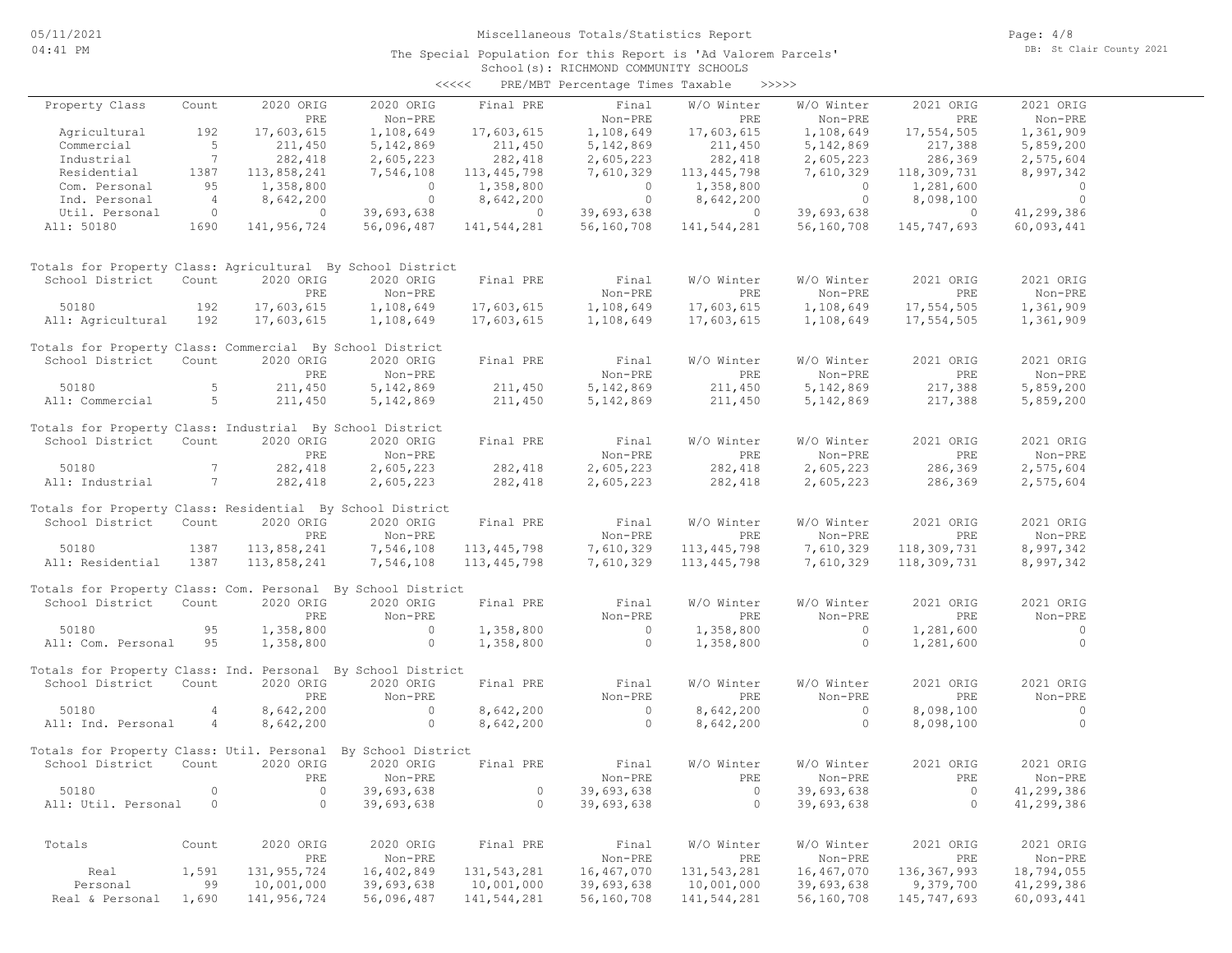#### School(s): RICHMOND COMMUNITY SCHOOLS The Special Population for this Report is 'Ad Valorem Parcels'

|                                                              |                 |                          |                | $\prec$ <<<<  | PRE/MBT Percentage Times Taxable |               | >>>>>          |                |                |  |
|--------------------------------------------------------------|-----------------|--------------------------|----------------|---------------|----------------------------------|---------------|----------------|----------------|----------------|--|
| Property Class                                               | Count           | 2020 ORIG                | 2020 ORIG      | Final PRE     | Final                            | W/O Winter    | W/O Winter     | 2021 ORIG      | 2021 ORIG      |  |
|                                                              |                 | PRE                      | Non-PRE        |               | Non-PRE                          | PRE           | Non-PRE        | PRE            | Non-PRE        |  |
| Agricultural                                                 | 192             | 17,603,615               | 1,108,649      | 17,603,615    | 1,108,649                        | 17,603,615    | 1,108,649      | 17,554,505     | 1,361,909      |  |
| Commercial                                                   | 5               | 211,450                  | 5, 142, 869    | 211,450       | 5,142,869                        | 211,450       | 5,142,869      | 217,388        | 5,859,200      |  |
| Industrial                                                   | 7               | 282,418                  | 2,605,223      | 282,418       | 2,605,223                        | 282,418       | 2,605,223      | 286,369        | 2,575,604      |  |
| Residential                                                  | 1387            | 113,858,241              | 7,546,108      | 113, 445, 798 | 7,610,329                        | 113, 445, 798 | 7,610,329      | 118,309,731    | 8,997,342      |  |
| Com. Personal                                                | 95              | 1,358,800                | $\overline{0}$ | 1,358,800     | $\circ$                          | 1,358,800     | $\overline{0}$ | 1,281,600      | $\overline{0}$ |  |
| Ind. Personal                                                | $\overline{4}$  | 8,642,200                | $\overline{0}$ | 8,642,200     | $\overline{0}$                   | 8,642,200     | $\overline{0}$ | 8,098,100      | $\overline{0}$ |  |
| Util. Personal                                               | $\overline{0}$  | $\overline{\phantom{0}}$ | 39,693,638     | $\sim$ 0      | 39,693,638                       | $\circ$       | 39,693,638     | $\overline{0}$ | 41,299,386     |  |
| All: 50180                                                   | 1690            | 141,956,724              | 56,096,487     | 141,544,281   | 56,160,708                       | 141,544,281   | 56,160,708     | 145,747,693    | 60,093,441     |  |
| Totals for Property Class: Agricultural By School District   |                 |                          |                |               |                                  |               |                |                |                |  |
| School District                                              | Count           | 2020 ORIG                | 2020 ORIG      | Final PRE     | Final                            | W/O Winter    | W/O Winter     | 2021 ORIG      | 2021 ORIG      |  |
|                                                              |                 | PRE                      | Non-PRE        |               | Non-PRE                          | PRE           | Non-PRE        | PRE            | Non-PRE        |  |
|                                                              |                 |                          |                | 17,603,615    |                                  |               |                | 17,554,505     |                |  |
| 50180                                                        | 192             | 17,603,615               | 1,108,649      |               | 1,108,649                        | 17,603,615    | 1,108,649      |                | 1,361,909      |  |
| All: Agricultural                                            | 192             | 17,603,615               | 1,108,649      | 17,603,615    | 1,108,649                        | 17,603,615    | 1,108,649      | 17,554,505     | 1,361,909      |  |
| Totals for Property Class: Commercial By School District     |                 |                          |                |               |                                  |               |                |                |                |  |
| School District                                              | Count           | 2020 ORIG                | 2020 ORIG      | Final PRE     | Final                            | W/O Winter    | W/O Winter     | 2021 ORIG      | 2021 ORIG      |  |
|                                                              |                 | PRE                      | Non-PRE        |               | Non-PRE                          | PRE           | Non-PRE        | PRE            | Non-PRE        |  |
| 50180                                                        | 5               | 211,450                  | 5,142,869      | 211,450       | 5, 142, 869                      | 211,450       | 5,142,869      | 217,388        | 5,859,200      |  |
| All: Commercial                                              | $5^{\circ}$     | 211,450                  | 5,142,869      | 211,450       | 5,142,869                        | 211,450       | 5,142,869      | 217,388        | 5,859,200      |  |
| Totals for Property Class: Industrial By School District     |                 |                          |                |               |                                  |               |                |                |                |  |
| School District                                              | Count           | 2020 ORIG                | 2020 ORIG      | Final PRE     | Final                            | W/O Winter    | W/O Winter     | 2021 ORIG      | 2021 ORIG      |  |
|                                                              |                 | PRE                      | Non-PRE        |               | Non-PRE                          | PRE           | Non-PRE        | PRE            | Non-PRE        |  |
| 50180                                                        | $7\overline{ }$ | 282,418                  | 2,605,223      | 282,418       | 2,605,223                        | 282,418       | 2,605,223      | 286,369        | 2,575,604      |  |
| All: Industrial                                              | 7               | 282,418                  | 2,605,223      | 282,418       | 2,605,223                        | 282,418       | 2,605,223      | 286,369        | 2,575,604      |  |
|                                                              |                 |                          |                |               |                                  |               |                |                |                |  |
| Totals for Property Class: Residential By School District    |                 |                          |                |               |                                  |               |                |                |                |  |
| School District                                              | Count           | 2020 ORIG                | 2020 ORIG      | Final PRE     | Final                            | W/O Winter    | W/O Winter     | 2021 ORIG      | 2021 ORIG      |  |
|                                                              |                 | PRE                      | Non-PRE        |               | Non-PRE                          | PRE           | Non-PRE        | PRE            | Non-PRE        |  |
| 50180                                                        | 1387            | 113,858,241              | 7,546,108      | 113,445,798   | 7,610,329                        | 113,445,798   | 7,610,329      | 118,309,731    | 8,997,342      |  |
| All: Residential                                             | 1387            | 113,858,241              | 7,546,108      | 113,445,798   | 7,610,329                        | 113,445,798   | 7,610,329      | 118,309,731    | 8,997,342      |  |
| Totals for Property Class: Com. Personal By School District  |                 |                          |                |               |                                  |               |                |                |                |  |
| School District                                              | Count           | 2020 ORIG                | 2020 ORIG      | Final PRE     | Final                            | W/O Winter    | W/O Winter     | 2021 ORIG      | 2021 ORIG      |  |
|                                                              |                 | PRE                      | Non-PRE        |               | Non-PRE                          | PRE           | Non-PRE        | PRE            | Non-PRE        |  |
| 50180                                                        | 95              | 1,358,800                | $\overline{0}$ | 1,358,800     | $\circ$                          | 1,358,800     | $\circ$        | 1,281,600      | $\circ$        |  |
| All: Com. Personal                                           | 95              | 1,358,800                | $\overline{0}$ | 1,358,800     | $\circ$                          | 1,358,800     | $\circ$        | 1,281,600      | $\circ$        |  |
|                                                              |                 |                          |                |               |                                  |               |                |                |                |  |
| Totals for Property Class: Ind. Personal By School District  |                 |                          |                |               |                                  |               |                |                |                |  |
| School District                                              | Count           | 2020 ORIG                | 2020 ORIG      | Final PRE     | Final                            | W/O Winter    | W/O Winter     | 2021 ORIG      | 2021 ORIG      |  |
|                                                              |                 | PRE                      | Non-PRE        |               | Non-PRE                          | PRE           | Non-PRE        | PRE            | Non-PRE        |  |
| 50180                                                        | 4               | 8,642,200                | $\overline{0}$ | 8,642,200     | $\sim$ 0                         | 8,642,200     | $\Omega$       | 8,098,100      | $\overline{0}$ |  |
| All: Ind. Personal                                           | $\overline{4}$  | 8,642,200                | $\circ$        | 8,642,200     | $\circ$                          | 8,642,200     | $\circ$        | 8,098,100      | $\overline{0}$ |  |
| Totals for Property Class: Util. Personal By School District |                 |                          |                |               |                                  |               |                |                |                |  |
| School District                                              | Count           | 2020 ORIG                | 2020 ORIG      | Final PRE     | Final                            | W/O Winter    | W/O Winter     | 2021 ORIG      | 2021 ORIG      |  |
|                                                              |                 | <b>PRE</b>               | Non-PRE        |               | Non-PRE                          | PRE           | Non-PRE        | PRE            | Non-PRE        |  |
| 50180                                                        | $\circ$         | 0                        | 39,693,638     | 0             | 39,693,638                       | $\circ$       | 39,693,638     | 0              | 41,299,386     |  |
| All: Util. Personal                                          | $\circ$         | $\circ$                  | 39,693,638     | $\circ$       | 39,693,638                       | $\circ$       | 39,693,638     | $\overline{0}$ | 41,299,386     |  |
|                                                              |                 |                          |                |               |                                  |               |                |                |                |  |
|                                                              |                 |                          |                |               |                                  |               |                |                | 2021 ORIG      |  |
| Totals                                                       | Count           | 2020 ORIG                | 2020 ORIG      | Final PRE     | Final                            | W/O Winter    | W/O Winter     | 2021 ORIG      |                |  |
|                                                              |                 | PRE                      | Non-PRE        |               | Non-PRE                          | PRE           | Non-PRE        | PRE            | Non-PRE        |  |
| Real                                                         | 1,591           | 131, 955, 724            | 16,402,849     | 131, 543, 281 | 16,467,070                       | 131,543,281   | 16,467,070     | 136, 367, 993  | 18,794,055     |  |
| Personal                                                     | 99              | 10,001,000               | 39,693,638     | 10,001,000    | 39,693,638                       | 10,001,000    | 39,693,638     | 9,379,700      | 41,299,386     |  |
| Real & Personal                                              | 1,690           | 141, 956, 724            | 56,096,487     | 141,544,281   | 56,160,708                       | 141, 544, 281 | 56,160,708     | 145,747,693    | 60,093,441     |  |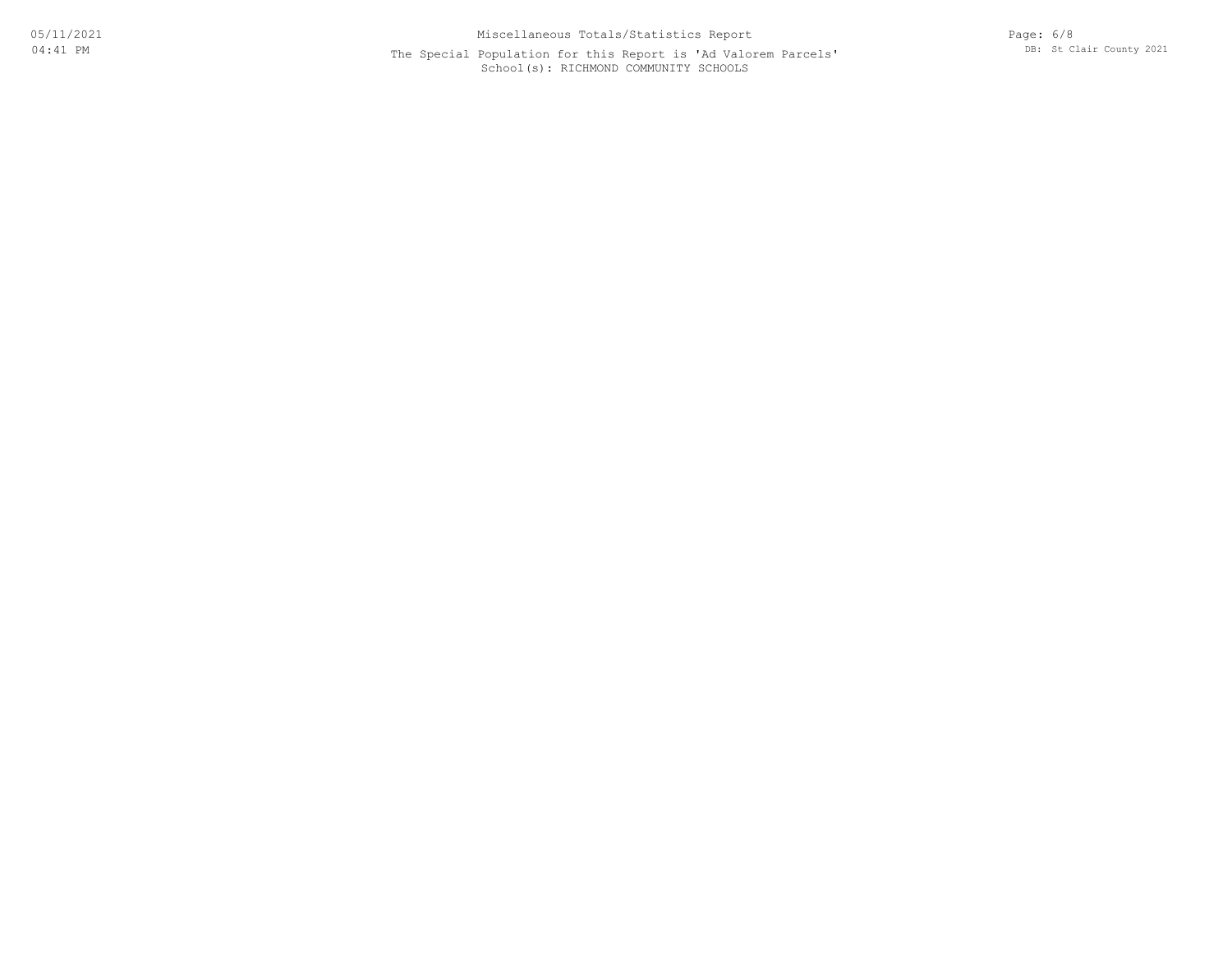#### School(s): RICHMOND COMMUNITY SCHOOLS The Special Population for this Report is 'Ad Valorem Parcels'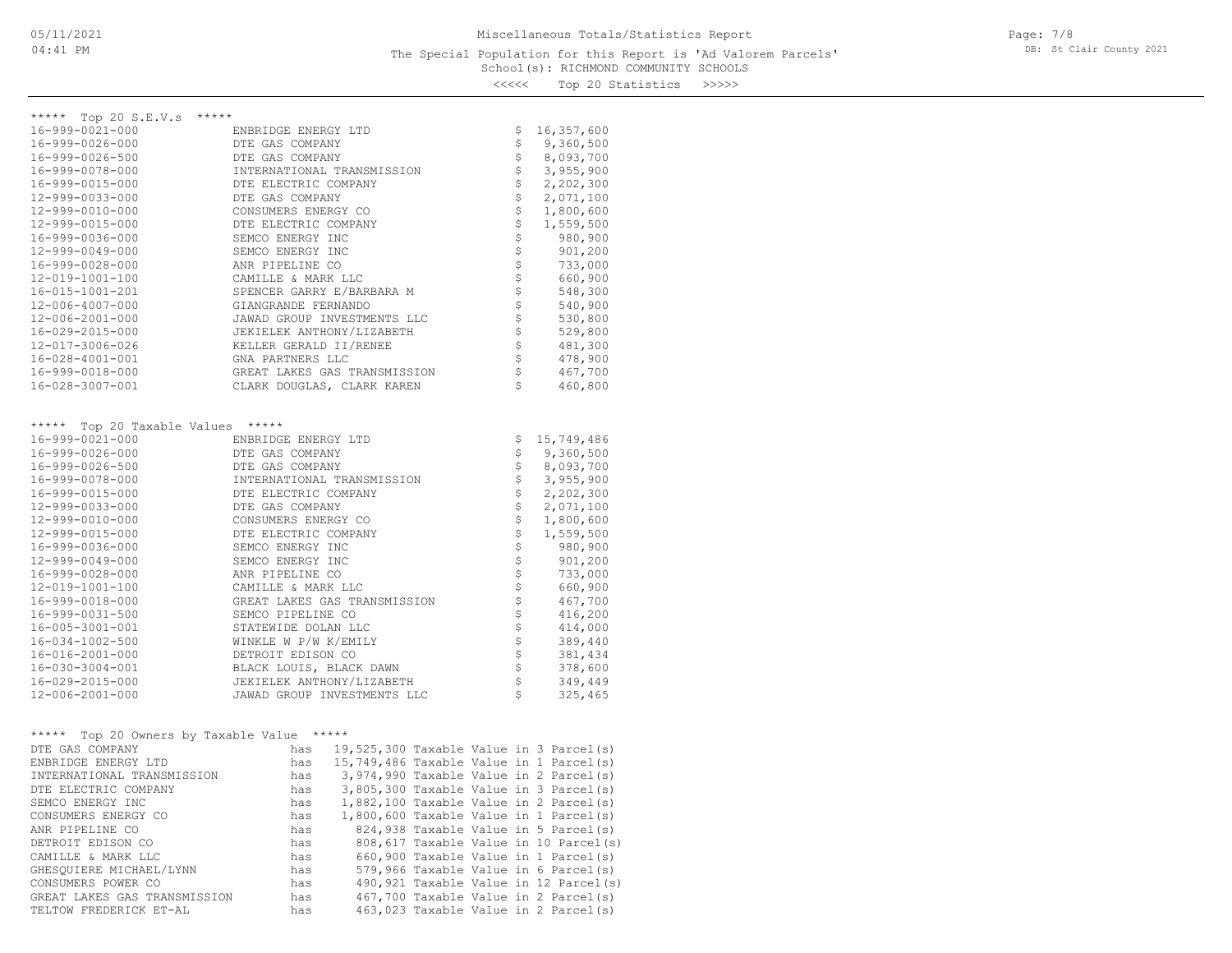## School(s): RICHMOND COMMUNITY SCHOOLS The Special Population for this Report is 'Ad Valorem Parcels'

<<<<< Top 20 Statistics >>>>>

| $***$ * * *<br>Top 20 S.E.V.s *****                   |                              |                                             |         |    |                                        |
|-------------------------------------------------------|------------------------------|---------------------------------------------|---------|----|----------------------------------------|
| 16-999-0021-000                                       | ENBRIDGE ENERGY LTD          |                                             |         | \$ | 16,357,600                             |
| 16-999-0026-000                                       |                              |                                             |         | \$ | 9,360,500                              |
|                                                       | DTE GAS COMPANY              |                                             |         |    |                                        |
| 16-999-0026-500                                       | DTE GAS COMPANY              |                                             |         | \$ | 8,093,700                              |
| 16-999-0078-000                                       | INTERNATIONAL TRANSMISSION   |                                             |         | \$ | 3,955,900                              |
| 16-999-0015-000                                       | DTE ELECTRIC COMPANY         |                                             |         |    | 2,202,300                              |
| 12-999-0033-000                                       | DTE GAS COMPANY              |                                             |         |    | 2,071,100                              |
| 12-999-0010-000                                       | CONSUMERS ENERGY CO          |                                             |         |    | 1,800,600                              |
| 12-999-0015-000                                       | DTE ELECTRIC COMPANY         |                                             |         |    | 1,559,500                              |
| 16-999-0036-000                                       | SEMCO ENERGY INC             |                                             |         |    | 980,900                                |
| 12-999-0049-000                                       | SEMCO ENERGY INC             |                                             |         |    | 901,200                                |
| 16-999-0028-000                                       | ANR PIPELINE CO              |                                             |         |    | 733,000                                |
| 12-019-1001-100                                       | CAMILLE & MARK LLC           |                                             |         |    | 660,900                                |
| 16-015-1001-201                                       | SPENCER GARRY E/BARBARA M    |                                             |         |    | 548,300                                |
| 12-006-4007-000                                       | GIANGRANDE FERNANDO          |                                             |         |    | 540,900                                |
|                                                       |                              |                                             |         |    |                                        |
| 12-006-2001-000                                       | JAWAD GROUP INVESTMENTS LLC  |                                             |         |    | 530,800                                |
| 16-029-2015-000                                       | JEKIELEK ANTHONY/LIZABETH    |                                             |         |    | 529,800                                |
| 12-017-3006-026                                       | KELLER GERALD II/RENEE       |                                             |         |    | 481,300                                |
| 16-028-4001-001                                       | GNA PARTNERS LLC             |                                             |         |    | 478,900                                |
| 16-999-0018-000                                       | GREAT LAKES GAS TRANSMISSION |                                             |         | \$ | 467,700                                |
| 16-028-3007-001                                       | CLARK DOUGLAS, CLARK KAREN   |                                             |         | \$ | 460,800                                |
|                                                       |                              |                                             |         |    |                                        |
|                                                       |                              |                                             |         |    |                                        |
| Top 20 Taxable Values *****<br>*****                  |                              |                                             |         |    |                                        |
| 16-999-0021-000                                       | ENBRIDGE ENERGY LTD          |                                             |         | \$ | 15,749,486                             |
| 16-999-0026-000                                       | DTE GAS COMPANY              |                                             |         | \$ | 9,360,500                              |
| 16-999-0026-500                                       | DTE GAS COMPANY              |                                             |         | \$ | 8,093,700                              |
| 16-999-0078-000                                       | INTERNATIONAL TRANSMISSION   |                                             |         |    | 3,955,900                              |
|                                                       |                              |                                             |         |    |                                        |
| 16-999-0015-000                                       | DTE ELECTRIC COMPANY         |                                             |         |    | 2,202,300                              |
| 12-999-0033-000                                       | DTE GAS COMPANY              |                                             |         |    | 2,071,100                              |
| 12-999-0010-000                                       | CONSUMERS ENERGY CO          |                                             |         |    | 1,800,600                              |
| 12-999-0015-000                                       | DTE ELECTRIC COMPANY         |                                             |         |    | 1,559,500                              |
| 16-999-0036-000                                       | SEMCO ENERGY INC             |                                             |         |    | 980,900                                |
| 12-999-0049-000                                       | SEMCO ENERGY INC             |                                             |         |    | 901,200                                |
| 16-999-0028-000                                       | ANR PIPELINE CO              |                                             |         |    | 733,000                                |
| 12-019-1001-100                                       | CAMILLE & MARK LLC           |                                             |         |    | 660,900                                |
| 16-999-0018-000                                       | GREAT LAKES GAS TRANSMISSION |                                             |         |    | 467,700                                |
| 16-999-0031-500                                       | SEMCO PIPELINE CO            |                                             |         |    | 416,200                                |
| 16-005-3001-001                                       | STATEWIDE DOLAN LLC          |                                             | 414,000 |    |                                        |
| 16-034-1002-500                                       | WINKLE W P/W K/EMILY         |                                             | 389,440 |    |                                        |
| 16-016-2001-000                                       | DETROIT EDISON CO            |                                             | 381,434 |    |                                        |
|                                                       |                              |                                             |         |    |                                        |
| 16-030-3004-001                                       | BLACK LOUIS, BLACK DAWN      |                                             |         | \$ | 378,600                                |
| 16-029-2015-000                                       | JEKIELEK ANTHONY/LIZABETH    |                                             | 349,449 |    |                                        |
| 12-006-2001-000                                       | JAWAD GROUP INVESTMENTS LLC  |                                             |         | Ś  | 325,465                                |
|                                                       |                              |                                             |         |    |                                        |
|                                                       |                              |                                             |         |    |                                        |
| Top 20 Owners by Taxable Value *****<br>$***$ * * * * |                              |                                             |         |    |                                        |
| DTE GAS COMPANY                                       |                              | has 19,525,300 Taxable Value in 3 Parcel(s) |         |    |                                        |
| ENBRIDGE ENERGY LTD                                   |                              | has 15,749,486 Taxable Value in 1 Parcel(s) |         |    |                                        |
| INTERNATIONAL TRANSMISSION                            |                              | has 3,974,990 Taxable Value in 2 Parcel(s)  |         |    |                                        |
| DTE ELECTRIC COMPANY                                  |                              | has 3,805,300 Taxable Value in 3 Parcel(s)  |         |    |                                        |
| SEMCO ENERGY INC                                      | has                          |                                             |         |    | 1,882,100 Taxable Value in 2 Parcel(s) |
| CONSUMERS ENERGY CO                                   | has                          |                                             |         |    | 1,800,600 Taxable Value in 1 Parcel(s) |
| ANR PIPELINE CO                                       | has                          |                                             |         |    | 824,938 Taxable Value in 5 Parcel(s)   |
| DETROIT EDISON CO                                     | has                          |                                             |         |    | 808,617 Taxable Value in 10 Parcel(s)  |
| CAMILLE & MARK LLC                                    | has                          |                                             |         |    | 660,900 Taxable Value in 1 Parcel(s)   |
| GHESQUIERE MICHAEL/LYNN                               |                              |                                             |         |    | 579,966 Taxable Value in 6 Parcel(s)   |
|                                                       | has                          |                                             |         |    |                                        |
| CONSUMERS POWER CO                                    | has                          |                                             |         |    | 490,921 Taxable Value in 12 Parcel(s)  |
| GREAT LAKES GAS TRANSMISSION                          | has                          |                                             |         |    | 467,700 Taxable Value in 2 Parcel(s)   |
| TELTOW FREDERICK ET-AL                                | has                          |                                             |         |    | 463,023 Taxable Value in 2 Parcel(s)   |